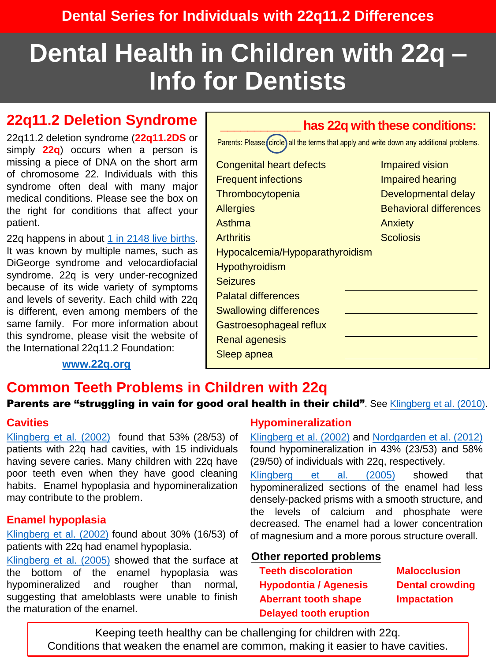# **Dental Health in Children with 22q – Info for Dentists**

# **22q11.2 Deletion Syndrome**

22q11.2 deletion syndrome (**22q11.2DS** or simply **22q**) occurs when a person is missing a piece of DNA on the short arm of chromosome 22. Individuals with this syndrome often deal with many major medical conditions. Please see the box on the right for conditions that affect your patient.

22q happens in about 1 in 2148 live [births](https://pubmed.ncbi.nlm.nih.gov/34404688/). It was known by multiple names, such as DiGeorge syndrome and velocardiofacial syndrome. 22q is very under-recognized because of its wide variety of symptoms and levels of severity. Each child with 22q is different, even among members of the same family. For more information about this syndrome, please visit the website of the International 22q11.2 Foundation:

**[www.22q.org](http://www.22q.org/)**

#### **\_\_\_\_\_\_\_\_\_\_\_\_ has 22q with these conditions:**

Parents: Please (circle) all the terms that apply and write down any additional problems. Congenital heart defects Frequent infections **Thrombocytopenia Allergies** Asthma **Arthritis** Hypocalcemia/Hypoparathyroidism **Hypothyroidism Seizures** Palatal differences Swallowing differences Gastroesophageal reflux Renal agenesis Sleep apnea Impaired vision Impaired hearing Developmental delay Behavioral differences **Anxiety Scoliosis** 

### **Common Teeth Problems in Children with 22q**

Parents are "struggling in vain for good oral health in their child". See [Klingberg](https://pubmed.ncbi.nlm.nih.gov/20536590/) et al. (2010).

#### **Cavities**

[Klingberg](https://pubmed.ncbi.nlm.nih.gov/11853243/) et al. (2002) found that 53% (28/53) of patients with 22q had cavities, with 15 individuals having severe caries. Many children with 22q have poor teeth even when they have good cleaning habits. Enamel hypoplasia and hypomineralization may contribute to the problem.

#### **Enamel hypoplasia**

[Klingberg](https://pubmed.ncbi.nlm.nih.gov/11853243/) et al. (2002) found about 30% (16/53) of patients with 22q had enamel hypoplasia.

[Klingberg](https://pubmed.ncbi.nlm.nih.gov/16048522/) et al. (2005) showed that the surface at the bottom of the enamel hypoplasia was hypomineralized and rougher than normal, suggesting that ameloblasts were unable to finish the maturation of the enamel.

#### **Hypomineralization**

[Klingberg](https://pubmed.ncbi.nlm.nih.gov/11853243/) et al. (2002) and [Nordgarden](https://pubmed.ncbi.nlm.nih.gov/22070626/) et al. (2012) found hypomineralization in 43% (23/53) and 58% (29/50) of individuals with 22q, respectively.

[Klingberg](https://pubmed.ncbi.nlm.nih.gov/16048522/) et al. (2005) showed that hypomineralized sections of the enamel had less densely-packed prisms with a smooth structure, and the levels of calcium and phosphate were decreased. The enamel had a lower concentration of magnesium and a more porous structure overall.

#### **Other reported problems**

**Teeth discoloration Hypodontia / Agenesis Aberrant tooth shape Delayed tooth eruption**

**Malocclusion Dental crowding Impactation**

Keeping teeth healthy can be challenging for children with 22q. Conditions that weaken the enamel are common, making it easier to have cavities.